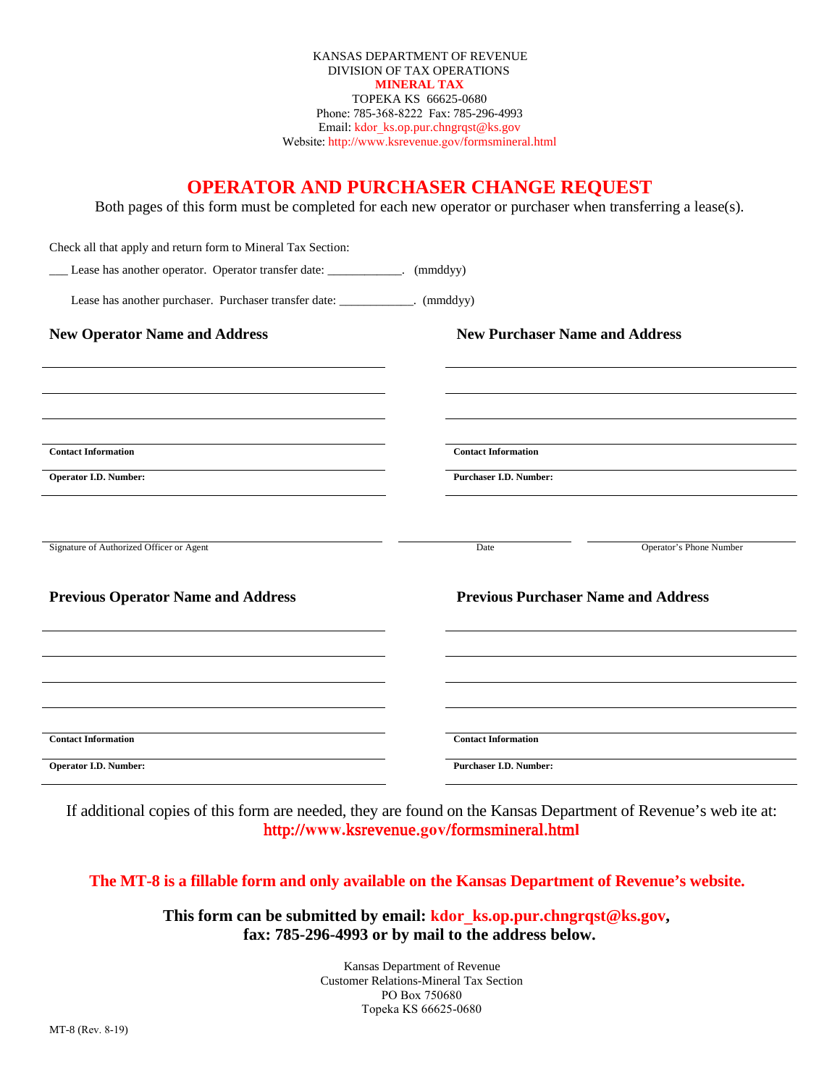Phone: 785-368-8222 Fax: 785-296-4993 Email: kdor\_ks.op.pur.chngrqst@ks.gov Website: http://www.ksrevenue.gov/formsmineral.html KANSAS DEPARTMENT OF REVENUE DIVISION OF TAX OPERATIONS **MINERAL TAX**  TOPEKA KS 66625-0680

## **OPERATOR AND PURCHASER CHANGE REQUEST**

Both pages of this form must be completed for each new operator or purchaser when transferring a lease(s).

| Check all that apply and return form to Mineral Tax Section:                 |                               |                                            |                         |  |  |
|------------------------------------------------------------------------------|-------------------------------|--------------------------------------------|-------------------------|--|--|
| Lease has another operator. Operator transfer date: ____________. (mmddyy)   |                               |                                            |                         |  |  |
| Lease has another purchaser. Purchaser transfer date: ____________. (mmddyy) |                               |                                            |                         |  |  |
| <b>New Operator Name and Address</b>                                         |                               | <b>New Purchaser Name and Address</b>      |                         |  |  |
|                                                                              |                               |                                            |                         |  |  |
| <b>Contact Information</b>                                                   |                               | <b>Contact Information</b>                 |                         |  |  |
|                                                                              |                               |                                            |                         |  |  |
| <b>Operator I.D. Number:</b>                                                 | <b>Purchaser I.D. Number:</b> |                                            |                         |  |  |
|                                                                              |                               |                                            |                         |  |  |
| Signature of Authorized Officer or Agent                                     |                               | Date                                       | Operator's Phone Number |  |  |
| <b>Previous Operator Name and Address</b>                                    |                               | <b>Previous Purchaser Name and Address</b> |                         |  |  |
|                                                                              |                               |                                            |                         |  |  |
|                                                                              |                               |                                            |                         |  |  |
|                                                                              |                               |                                            |                         |  |  |
|                                                                              |                               |                                            |                         |  |  |
| <b>Contact Information</b>                                                   |                               | <b>Contact Information</b>                 |                         |  |  |
| <b>Operator I.D. Number:</b>                                                 |                               | <b>Purchaser I.D. Number:</b>              |                         |  |  |

If additional copies of this form are needed, they are found on the Kansas Department of Revenue's web ite at: http://**www.**ksrevenue.**gov**/formsmineral.htm**l**

**The MT-8 is a fillable form and only available on the Kansas Department of Revenue's website.** 

**This form can be submitted by email: kdor\_ks.op.pur.chngrqst@ks.gov, fax: 785-296-4993 or by mail to the address below.** 

> Kansas Department of Revenue Customer Relations-Mineral Tax Section PO Box 750680 Topeka KS 66625-0680